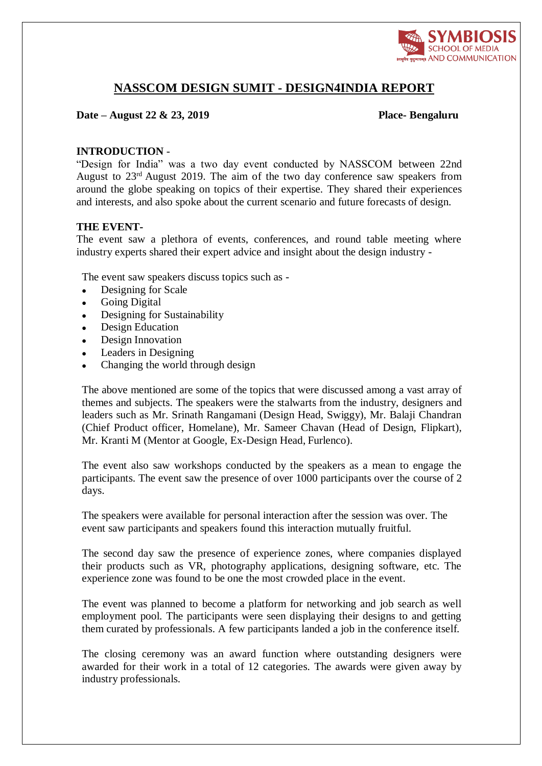

# **NASSCOM DESIGN SUMIT - DESIGN4INDIA REPORT**

## **Date – August 22 & 23, 2019 Place- Bengaluru**

## **INTRODUCTION** -

"Design for India" was a two day event conducted by NASSCOM between 22nd August to 23rd August 2019. The aim of the two day conference saw speakers from around the globe speaking on topics of their expertise. They shared their experiences and interests, and also spoke about the current scenario and future forecasts of design.

## **THE EVENT-**

The event saw a plethora of events, conferences, and round table meeting where industry experts shared their expert advice and insight about the design industry -

The event saw speakers discuss topics such as -

- Designing for Scale
- Going Digital
- Designing for Sustainability
- Design Education
- Design Innovation
- Leaders in Designing
- Changing the world through design

The above mentioned are some of the topics that were discussed among a vast array of themes and subjects. The speakers were the stalwarts from the industry, designers and leaders such as Mr. Srinath Rangamani (Design Head, Swiggy), Mr. Balaji Chandran (Chief Product officer, Homelane), Mr. Sameer Chavan (Head of Design, Flipkart), Mr. Kranti M (Mentor at Google, Ex-Design Head, Furlenco).

The event also saw workshops conducted by the speakers as a mean to engage the participants. The event saw the presence of over 1000 participants over the course of 2 days.

The speakers were available for personal interaction after the session was over. The event saw participants and speakers found this interaction mutually fruitful.

The second day saw the presence of experience zones, where companies displayed their products such as VR, photography applications, designing software, etc. The experience zone was found to be one the most crowded place in the event.

The event was planned to become a platform for networking and job search as well employment pool. The participants were seen displaying their designs to and getting them curated by professionals. A few participants landed a job in the conference itself.

The closing ceremony was an award function where outstanding designers were awarded for their work in a total of 12 categories. The awards were given away by industry professionals.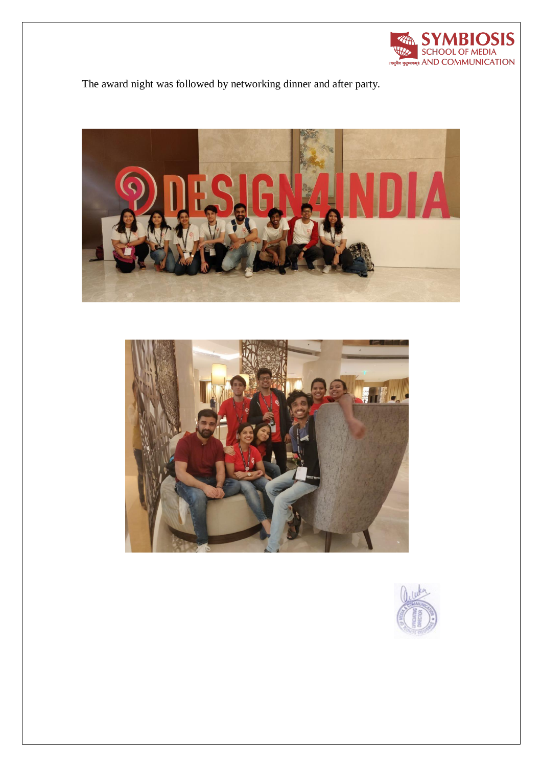

The award night was followed by networking dinner and after party.